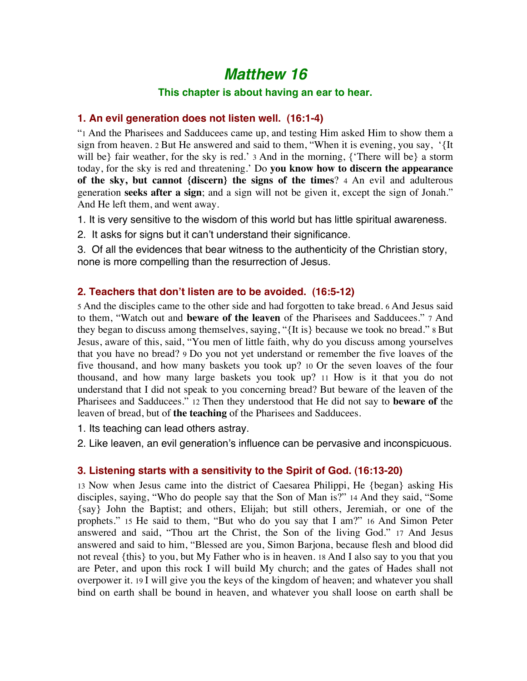# *Matthew 16*

#### **This chapter is about having an ear to hear.**

#### **1. An evil generation does not listen well. (16:1-4)**

"1 And the Pharisees and Sadducees came up, and testing Him asked Him to show them a sign from heaven. 2 But He answered and said to them, "When it is evening, you say, '{It will be} fair weather, for the sky is red.' 3 And in the morning, {'There will be} a storm today, for the sky is red and threatening.' Do **you know how to discern the appearance of the sky, but cannot {discern} the signs of the times**? 4 An evil and adulterous generation **seeks after a sign**; and a sign will not be given it, except the sign of Jonah." And He left them, and went away.

1. It is very sensitive to the wisdom of this world but has little spiritual awareness.

2. It asks for signs but it can't understand their significance.

3. Of all the evidences that bear witness to the authenticity of the Christian story, none is more compelling than the resurrection of Jesus.

#### **2. Teachers that don't listen are to be avoided. (16:5-12)**

5 And the disciples came to the other side and had forgotten to take bread. 6 And Jesus said to them, "Watch out and **beware of the leaven** of the Pharisees and Sadducees." 7 And they began to discuss among themselves, saying, "{It is} because we took no bread." 8 But Jesus, aware of this, said, "You men of little faith, why do you discuss among yourselves that you have no bread? 9 Do you not yet understand or remember the five loaves of the five thousand, and how many baskets you took up? 10 Or the seven loaves of the four thousand, and how many large baskets you took up? 11 How is it that you do not understand that I did not speak to you concerning bread? But beware of the leaven of the Pharisees and Sadducees." 12 Then they understood that He did not say to **beware of** the leaven of bread, but of **the teaching** of the Pharisees and Sadducees.

1. Its teaching can lead others astray.

2. Like leaven, an evil generation's influence can be pervasive and inconspicuous.

#### **3. Listening starts with a sensitivity to the Spirit of God. (16:13-20)**

13 Now when Jesus came into the district of Caesarea Philippi, He {began} asking His disciples, saying, "Who do people say that the Son of Man is?" 14 And they said, "Some {say} John the Baptist; and others, Elijah; but still others, Jeremiah, or one of the prophets." 15 He said to them, "But who do you say that I am?" 16 And Simon Peter answered and said, "Thou art the Christ, the Son of the living God." 17 And Jesus answered and said to him, "Blessed are you, Simon Barjona, because flesh and blood did not reveal {this} to you, but My Father who is in heaven. 18 And I also say to you that you are Peter, and upon this rock I will build My church; and the gates of Hades shall not overpower it. 19 I will give you the keys of the kingdom of heaven; and whatever you shall bind on earth shall be bound in heaven, and whatever you shall loose on earth shall be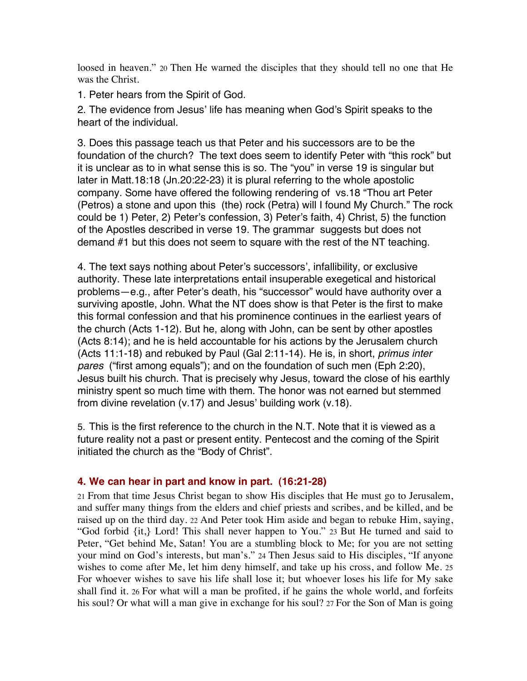loosed in heaven." 20 Then He warned the disciples that they should tell no one that He was the Christ.

1. Peter hears from the Spirit of God.

2. The evidence from Jesus' life has meaning when God's Spirit speaks to the heart of the individual.

3. Does this passage teach us that Peter and his successors are to be the foundation of the church? The text does seem to identify Peter with "this rock" but it is unclear as to in what sense this is so. The "you" in verse 19 is singular but later in Matt.18:18 (Jn.20:22-23) it is plural referring to the whole apostolic company. Some have offered the following rendering of vs.18 "Thou art Peter (Petros) a stone and upon this (the) rock (Petra) will I found My Church." The rock could be 1) Peter, 2) Peter's confession, 3) Peter's faith, 4) Christ, 5) the function of the Apostles described in verse 19. The grammar suggests but does not demand #1 but this does not seem to square with the rest of the NT teaching.

4. The text says nothing about Peter's successors', infallibility, or exclusive authority. These late interpretations entail insuperable exegetical and historical problems—e.g., after Peter's death, his "successor" would have authority over a surviving apostle, John. What the NT does show is that Peter is the first to make this formal confession and that his prominence continues in the earliest years of the church (Acts 1-12). But he, along with John, can be sent by other apostles (Acts 8:14); and he is held accountable for his actions by the Jerusalem church (Acts 11:1-18) and rebuked by Paul (Gal 2:11-14). He is, in short, *primus inter pares* ("first among equals"); and on the foundation of such men (Eph 2:20), Jesus built his church. That is precisely why Jesus, toward the close of his earthly ministry spent so much time with them. The honor was not earned but stemmed from divine revelation (v.17) and Jesus' building work (v.18).

5. This is the first reference to the church in the N.T. Note that it is viewed as a future reality not a past or present entity. Pentecost and the coming of the Spirit initiated the church as the "Body of Christ".

### **4. We can hear in part and know in part. (16:21-28)**

21 From that time Jesus Christ began to show His disciples that He must go to Jerusalem, and suffer many things from the elders and chief priests and scribes, and be killed, and be raised up on the third day. 22 And Peter took Him aside and began to rebuke Him, saying, "God forbid {it,} Lord! This shall never happen to You." 23 But He turned and said to Peter, "Get behind Me, Satan! You are a stumbling block to Me; for you are not setting your mind on God's interests, but man's." 24 Then Jesus said to His disciples, "If anyone wishes to come after Me, let him deny himself, and take up his cross, and follow Me. 25 For whoever wishes to save his life shall lose it; but whoever loses his life for My sake shall find it. 26 For what will a man be profited, if he gains the whole world, and forfeits his soul? Or what will a man give in exchange for his soul? 27 For the Son of Man is going